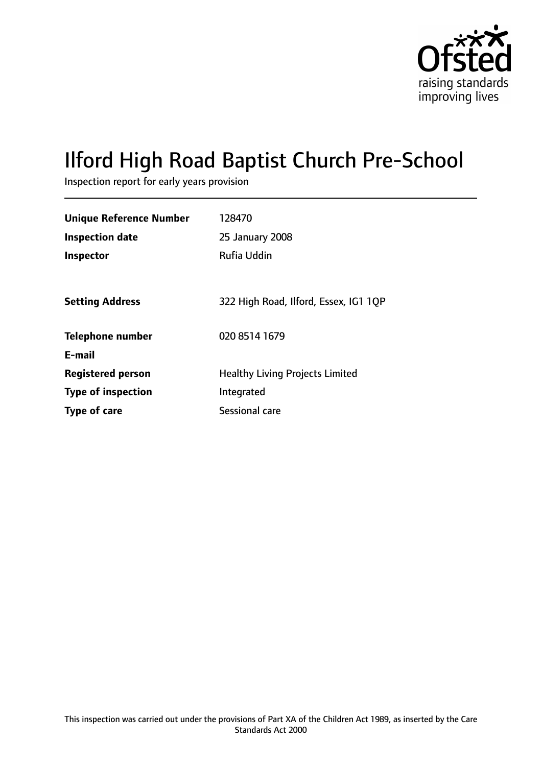

# Ilford High Road Baptist Church Pre-School

Inspection report for early years provision

| <b>Unique Reference Number</b> | 128470                                 |
|--------------------------------|----------------------------------------|
| <b>Inspection date</b>         | 25 January 2008                        |
| Inspector                      | Rufia Uddin                            |
|                                |                                        |
| <b>Setting Address</b>         | 322 High Road, Ilford, Essex, IG1 1QP  |
| <b>Telephone number</b>        | 020 8514 1679                          |
| E-mail                         |                                        |
| <b>Registered person</b>       | <b>Healthy Living Projects Limited</b> |
| <b>Type of inspection</b>      | Integrated                             |
| Type of care                   | Sessional care                         |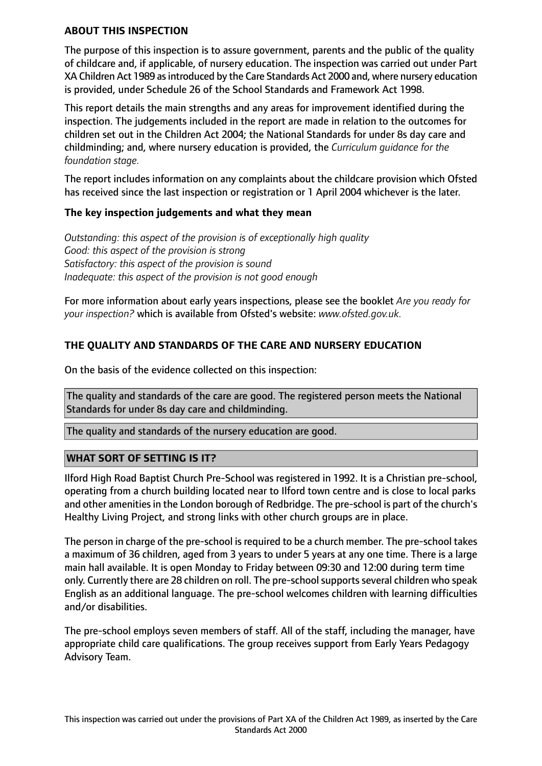#### **ABOUT THIS INSPECTION**

The purpose of this inspection is to assure government, parents and the public of the quality of childcare and, if applicable, of nursery education. The inspection was carried out under Part XA Children Act 1989 asintroduced by the Care Standards Act 2000 and, where nursery education is provided, under Schedule 26 of the School Standards and Framework Act 1998.

This report details the main strengths and any areas for improvement identified during the inspection. The judgements included in the report are made in relation to the outcomes for children set out in the Children Act 2004; the National Standards for under 8s day care and childminding; and, where nursery education is provided, the *Curriculum guidance for the foundation stage.*

The report includes information on any complaints about the childcare provision which Ofsted has received since the last inspection or registration or 1 April 2004 whichever is the later.

#### **The key inspection judgements and what they mean**

*Outstanding: this aspect of the provision is of exceptionally high quality Good: this aspect of the provision is strong Satisfactory: this aspect of the provision is sound Inadequate: this aspect of the provision is not good enough*

For more information about early years inspections, please see the booklet *Are you ready for your inspection?* which is available from Ofsted's website: *www.ofsted.gov.uk.*

# **THE QUALITY AND STANDARDS OF THE CARE AND NURSERY EDUCATION**

On the basis of the evidence collected on this inspection:

The quality and standards of the care are good. The registered person meets the National Standards for under 8s day care and childminding.

The quality and standards of the nursery education are good.

#### **WHAT SORT OF SETTING IS IT?**

Ilford High Road Baptist Church Pre-School was registered in 1992. It is a Christian pre-school, operating from a church building located near to Ilford town centre and is close to local parks and other amenities in the London borough of Redbridge. The pre-school is part of the church's Healthy Living Project, and strong links with other church groups are in place.

The person in charge of the pre-school is required to be a church member. The pre-school takes a maximum of 36 children, aged from 3 years to under 5 years at any one time. There is a large main hall available. It is open Monday to Friday between 09:30 and 12:00 during term time only. Currently there are 28 children on roll. The pre-school supports several children who speak English as an additional language. The pre-school welcomes children with learning difficulties and/or disabilities.

The pre-school employs seven members of staff. All of the staff, including the manager, have appropriate child care qualifications. The group receives support from Early Years Pedagogy Advisory Team.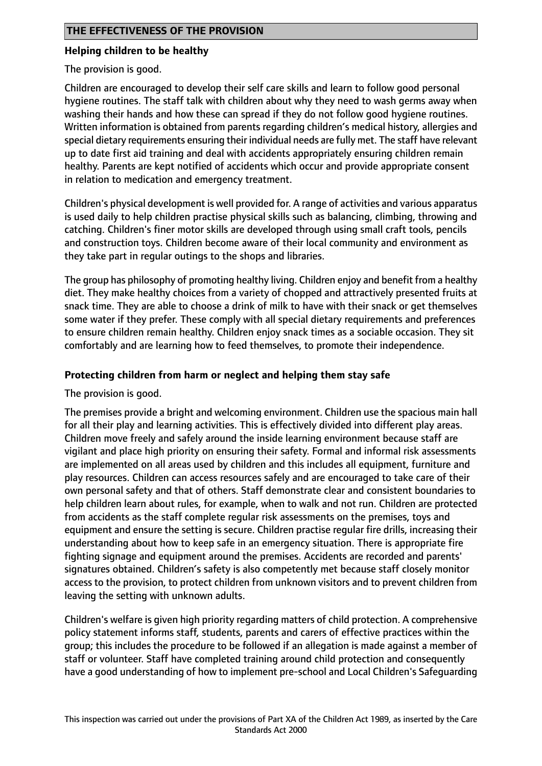#### **Helping children to be healthy**

The provision is good.

Children are encouraged to develop their self care skills and learn to follow good personal hygiene routines. The staff talk with children about why they need to wash germs away when washing their hands and how these can spread if they do not follow good hygiene routines. Written information is obtained from parents regarding children's medical history, allergies and special dietary requirements ensuring their individual needs are fully met. The staff have relevant up to date first aid training and deal with accidents appropriately ensuring children remain healthy. Parents are kept notified of accidents which occur and provide appropriate consent in relation to medication and emergency treatment.

Children's physical development is well provided for. A range of activities and various apparatus is used daily to help children practise physical skills such as balancing, climbing, throwing and catching. Children's finer motor skills are developed through using small craft tools, pencils and construction toys. Children become aware of their local community and environment as they take part in regular outings to the shops and libraries.

The group has philosophy of promoting healthy living. Children enjoy and benefit from a healthy diet. They make healthy choices from a variety of chopped and attractively presented fruits at snack time. They are able to choose a drink of milk to have with their snack or get themselves some water if they prefer. These comply with all special dietary requirements and preferences to ensure children remain healthy. Children enjoy snack times as a sociable occasion. They sit comfortably and are learning how to feed themselves, to promote their independence.

#### **Protecting children from harm or neglect and helping them stay safe**

The provision is good.

The premises provide a bright and welcoming environment. Children use the spacious main hall for all their play and learning activities. This is effectively divided into different play areas. Children move freely and safely around the inside learning environment because staff are vigilant and place high priority on ensuring their safety. Formal and informal risk assessments are implemented on all areas used by children and this includes all equipment, furniture and play resources. Children can access resources safely and are encouraged to take care of their own personal safety and that of others. Staff demonstrate clear and consistent boundaries to help children learn about rules, for example, when to walk and not run. Children are protected from accidents as the staff complete regular risk assessments on the premises, toys and equipment and ensure the setting is secure. Children practise regular fire drills, increasing their understanding about how to keep safe in an emergency situation. There is appropriate fire fighting signage and equipment around the premises. Accidents are recorded and parents' signatures obtained. Children's safety is also competently met because staff closely monitor access to the provision, to protect children from unknown visitors and to prevent children from leaving the setting with unknown adults.

Children's welfare is given high priority regarding matters of child protection. A comprehensive policy statement informs staff, students, parents and carers of effective practices within the group; this includes the procedure to be followed if an allegation is made against a member of staff or volunteer. Staff have completed training around child protection and consequently have a good understanding of how to implement pre-school and Local Children's Safeguarding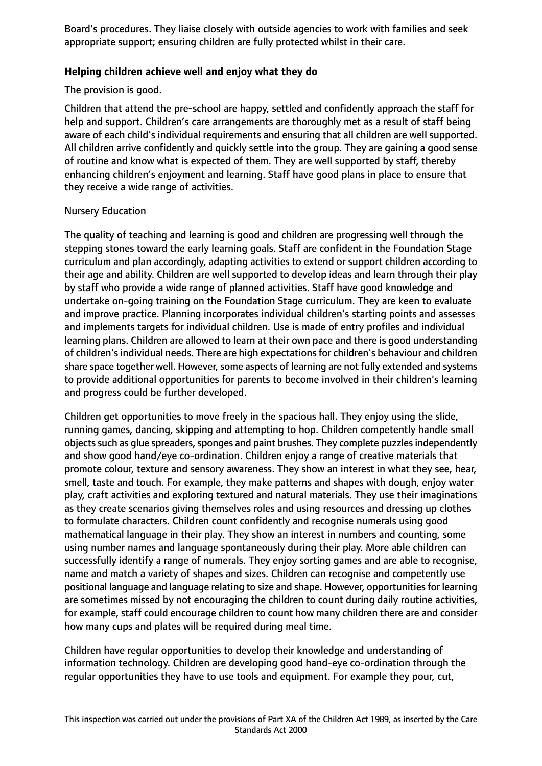Board's procedures. They liaise closely with outside agencies to work with families and seek appropriate support; ensuring children are fully protected whilst in their care.

#### **Helping children achieve well and enjoy what they do**

The provision is good.

Children that attend the pre-school are happy, settled and confidently approach the staff for help and support. Children's care arrangements are thoroughly met as a result of staff being aware of each child's individual requirements and ensuring that all children are well supported. All children arrive confidently and quickly settle into the group. They are gaining a good sense of routine and know what is expected of them. They are well supported by staff, thereby enhancing children's enjoyment and learning. Staff have good plans in place to ensure that they receive a wide range of activities.

#### Nursery Education

The quality of teaching and learning is good and children are progressing well through the stepping stones toward the early learning goals. Staff are confident in the Foundation Stage curriculum and plan accordingly, adapting activities to extend or support children according to their age and ability. Children are well supported to develop ideas and learn through their play by staff who provide a wide range of planned activities. Staff have good knowledge and undertake on-going training on the Foundation Stage curriculum. They are keen to evaluate and improve practice. Planning incorporates individual children's starting points and assesses and implements targets for individual children. Use is made of entry profiles and individual learning plans. Children are allowed to learn at their own pace and there is good understanding of children's individual needs. There are high expectations for children's behaviour and children share space together well. However, some aspects of learning are not fully extended and systems to provide additional opportunities for parents to become involved in their children's learning and progress could be further developed.

Children get opportunities to move freely in the spacious hall. They enjoy using the slide, running games, dancing, skipping and attempting to hop. Children competently handle small objects such as glue spreaders, sponges and paint brushes. They complete puzzles independently and show good hand/eye co-ordination. Children enjoy a range of creative materials that promote colour, texture and sensory awareness. They show an interest in what they see, hear, smell, taste and touch. For example, they make patterns and shapes with dough, enjoy water play, craft activities and exploring textured and natural materials. They use their imaginations as they create scenarios giving themselves roles and using resources and dressing up clothes to formulate characters. Children count confidently and recognise numerals using good mathematical language in their play. They show an interest in numbers and counting, some using number names and language spontaneously during their play. More able children can successfully identify a range of numerals. They enjoy sorting games and are able to recognise, name and match a variety of shapes and sizes. Children can recognise and competently use positional language and language relating to size and shape. However, opportunitiesfor learning are sometimes missed by not encouraging the children to count during daily routine activities, for example, staff could encourage children to count how many children there are and consider how many cups and plates will be required during meal time.

Children have regular opportunities to develop their knowledge and understanding of information technology. Children are developing good hand-eye co-ordination through the regular opportunities they have to use tools and equipment. For example they pour, cut,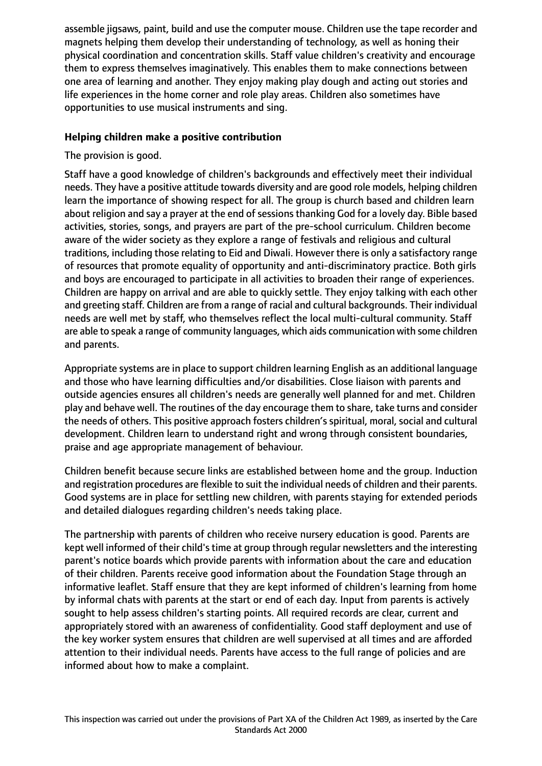assemble jigsaws, paint, build and use the computer mouse. Children use the tape recorder and magnets helping them develop their understanding of technology, as well as honing their physical coordination and concentration skills. Staff value children's creativity and encourage them to express themselves imaginatively. This enables them to make connections between one area of learning and another. They enjoy making play dough and acting out stories and life experiences in the home corner and role play areas. Children also sometimes have opportunities to use musical instruments and sing.

#### **Helping children make a positive contribution**

The provision is good.

Staff have a good knowledge of children's backgrounds and effectively meet their individual needs. They have a positive attitude towards diversity and are good role models, helping children learn the importance of showing respect for all. The group is church based and children learn about religion and say a prayer at the end of sessions thanking God for a lovely day. Bible based activities, stories, songs, and prayers are part of the pre-school curriculum. Children become aware of the wider society as they explore a range of festivals and religious and cultural traditions, including those relating to Eid and Diwali. However there is only a satisfactory range of resources that promote equality of opportunity and anti-discriminatory practice. Both girls and boys are encouraged to participate in all activities to broaden their range of experiences. Children are happy on arrival and are able to quickly settle. They enjoy talking with each other and greeting staff. Children are from a range of racial and cultural backgrounds. Their individual needs are well met by staff, who themselves reflect the local multi-cultural community. Staff are able to speak a range of community languages, which aids communication with some children and parents.

Appropriate systems are in place to support children learning English as an additional language and those who have learning difficulties and/or disabilities. Close liaison with parents and outside agencies ensures all children's needs are generally well planned for and met. Children play and behave well. The routines of the day encourage them to share, take turns and consider the needs of others. This positive approach fosters children's spiritual, moral, social and cultural development. Children learn to understand right and wrong through consistent boundaries, praise and age appropriate management of behaviour.

Children benefit because secure links are established between home and the group. Induction and registration procedures are flexible to suit the individual needs of children and their parents. Good systems are in place for settling new children, with parents staying for extended periods and detailed dialogues regarding children's needs taking place.

The partnership with parents of children who receive nursery education is good. Parents are kept well informed of their child's time at group through regular newsletters and the interesting parent's notice boards which provide parents with information about the care and education of their children. Parents receive good information about the Foundation Stage through an informative leaflet. Staff ensure that they are kept informed of children's learning from home by informal chats with parents at the start or end of each day. Input from parents is actively sought to help assess children's starting points. All required records are clear, current and appropriately stored with an awareness of confidentiality. Good staff deployment and use of the key worker system ensures that children are well supervised at all times and are afforded attention to their individual needs. Parents have access to the full range of policies and are informed about how to make a complaint.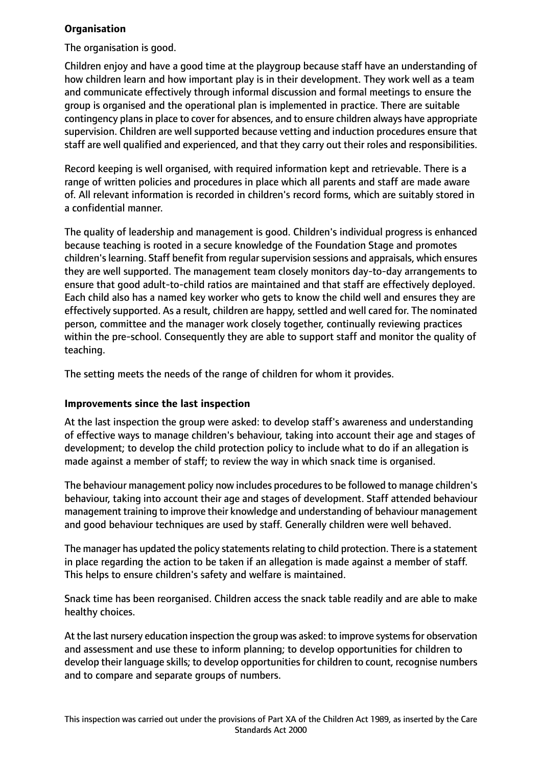# **Organisation**

The organisation is good.

Children enjoy and have a good time at the playgroup because staff have an understanding of how children learn and how important play is in their development. They work well as a team and communicate effectively through informal discussion and formal meetings to ensure the group is organised and the operational plan is implemented in practice. There are suitable contingency plans in place to cover for absences, and to ensure children always have appropriate supervision. Children are well supported because vetting and induction procedures ensure that staff are well qualified and experienced, and that they carry out their roles and responsibilities.

Record keeping is well organised, with required information kept and retrievable. There is a range of written policies and procedures in place which all parents and staff are made aware of. All relevant information is recorded in children's record forms, which are suitably stored in a confidential manner.

The quality of leadership and management is good. Children's individual progress is enhanced because teaching is rooted in a secure knowledge of the Foundation Stage and promotes children's learning. Staff benefit from regular supervision sessions and appraisals, which ensures they are well supported. The management team closely monitors day-to-day arrangements to ensure that good adult-to-child ratios are maintained and that staff are effectively deployed. Each child also has a named key worker who gets to know the child well and ensures they are effectively supported. As a result, children are happy, settled and well cared for. The nominated person, committee and the manager work closely together, continually reviewing practices within the pre-school. Consequently they are able to support staff and monitor the quality of teaching.

The setting meets the needs of the range of children for whom it provides.

#### **Improvements since the last inspection**

At the last inspection the group were asked: to develop staff's awareness and understanding of effective ways to manage children's behaviour, taking into account their age and stages of development; to develop the child protection policy to include what to do if an allegation is made against a member of staff; to review the way in which snack time is organised.

The behaviour management policy now includes proceduresto be followed to manage children's behaviour, taking into account their age and stages of development. Staff attended behaviour management training to improve their knowledge and understanding of behaviour management and good behaviour techniques are used by staff. Generally children were well behaved.

The manager has updated the policy statements relating to child protection. There is a statement in place regarding the action to be taken if an allegation is made against a member of staff. This helps to ensure children's safety and welfare is maintained.

Snack time has been reorganised. Children access the snack table readily and are able to make healthy choices.

At the last nursery education inspection the group was asked: to improve systems for observation and assessment and use these to inform planning; to develop opportunities for children to develop their language skills; to develop opportunities for children to count, recognise numbers and to compare and separate groups of numbers.